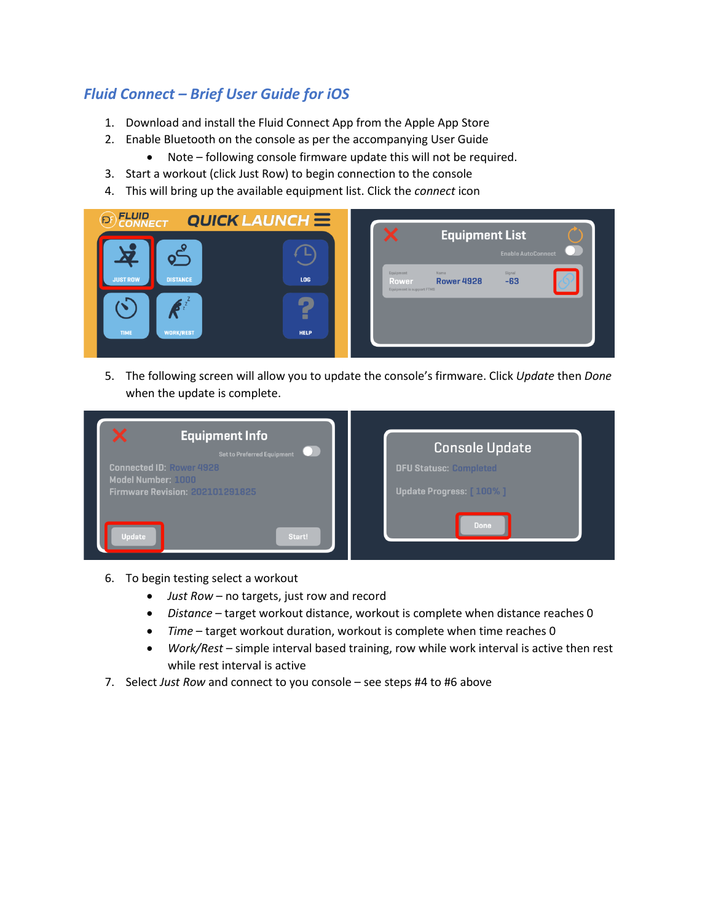## *Fluid Connect – Brief User Guide for iOS*

- 1. Download and install the Fluid Connect App from the Apple App Store
- 2. Enable Bluetooth on the console as per the accompanying User Guide
	- Note following console firmware update this will not be required.
- 3. Start a workout (click Just Row) to begin connection to the console
- 4. This will bring up the available equipment list. Click the *connect* icon

|                                                | <b>Equipment List</b><br>↗<br><b>Enable AutoConnect</b>                                         |
|------------------------------------------------|-------------------------------------------------------------------------------------------------|
|                                                |                                                                                                 |
| <b>DISTANCE</b><br><b>JUST ROW</b><br>LOG      | Equipment<br>Signal<br>Name<br>$-63$<br><b>Rower 4928</b><br>Rower<br>Equipment is support FTMS |
| н                                              |                                                                                                 |
| <b>TIME</b><br><b>WORK/REST</b><br><b>HELP</b> |                                                                                                 |

5. The following screen will allow you to update the console's firmware. Click *Update* then *Done*  when the update is complete.

| ×<br><b>Equipment Info</b><br><b>Set to Preferred Equipment</b><br><b>Connected ID: Rower 4928</b><br>Model Number: 1000<br><b>Firmware Revision: 202101291825</b> | <b>Console Update</b><br><b>DFU Statusc: Completed</b><br>Update Progress: [100%] |
|--------------------------------------------------------------------------------------------------------------------------------------------------------------------|-----------------------------------------------------------------------------------|
| <b>Update</b><br>Start!                                                                                                                                            | <b>Done</b>                                                                       |

- 6. To begin testing select a workout
	- *Just Row* no targets, just row and record
	- *Distance* target workout distance, workout is complete when distance reaches 0
	- *Time* target workout duration, workout is complete when time reaches 0
	- *Work/Rest* simple interval based training, row while work interval is active then rest while rest interval is active
- 7. Select *Just Row* and connect to you console see steps #4 to #6 above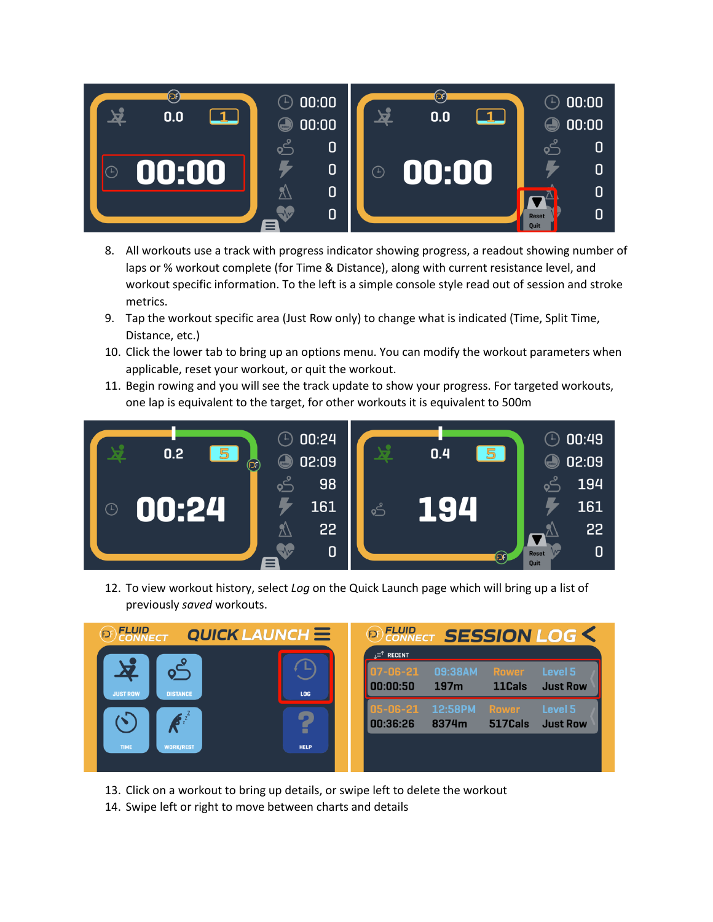

- 8. All workouts use a track with progress indicator showing progress, a readout showing number of laps or % workout complete (for Time & Distance), along with current resistance level, and workout specific information. To the left is a simple console style read out of session and stroke metrics.
- 9. Tap the workout specific area (Just Row only) to change what is indicated (Time, Split Time, Distance, etc.)
- 10. Click the lower tab to bring up an options menu. You can modify the workout parameters when applicable, reset your workout, or quit the workout.
- 11. Begin rowing and you will see the track update to show your progress. For targeted workouts, one lap is equivalent to the target, for other workouts it is equivalent to 500m



12. To view workout history, select *Log* on the Quick Launch page which will bring up a list of previously *saved* workouts.



- 13. Click on a workout to bring up details, or swipe left to delete the workout
- 14. Swipe left or right to move between charts and details